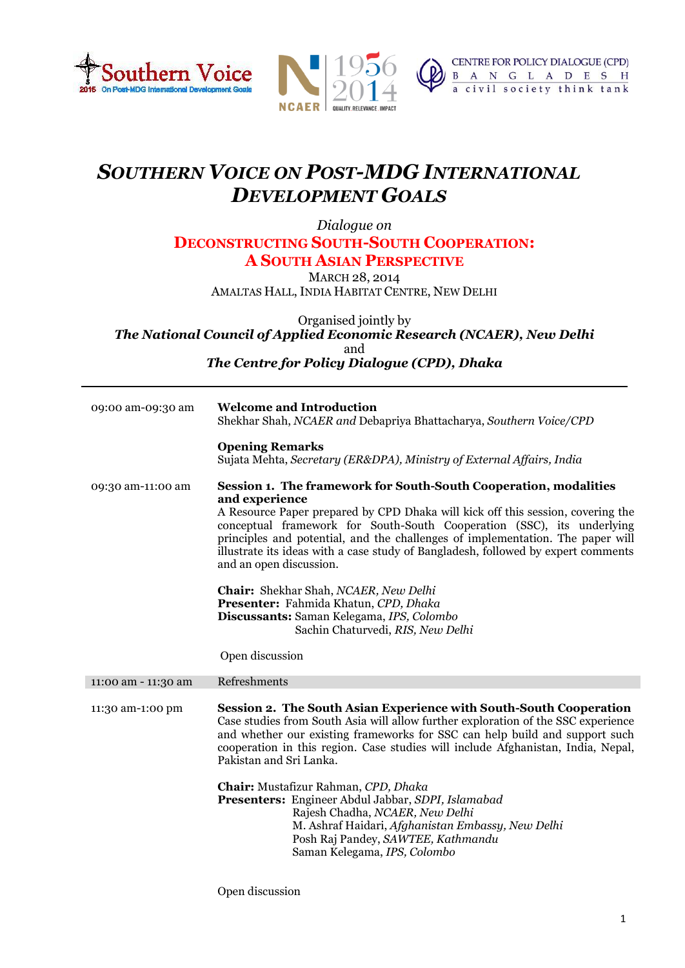





## *SOUTHERN VOICE ON POST-MDG INTERNATIONAL DEVELOPMENT GOALS*

*Dialogue on*  **DECONSTRUCTING SOUTH-SOUTH COOPERATION: A SOUTH ASIAN PERSPECTIVE**

MARCH 28, 2014

AMALTAS HALL, INDIA HABITAT CENTRE, NEW DELHI

Organised jointly by *The National Council of Applied Economic Research (NCAER), New Delhi* and *The Centre for Policy Dialogue (CPD), Dhaka*

| 09:00 am-09:30 am   | <b>Welcome and Introduction</b><br>Shekhar Shah, NCAER and Debapriya Bhattacharya, Southern Voice/CPD<br><b>Opening Remarks</b><br>Sujata Mehta, Secretary (ER&DPA), Ministry of External Affairs, India                                                                                                                                                                                                                                          |
|---------------------|---------------------------------------------------------------------------------------------------------------------------------------------------------------------------------------------------------------------------------------------------------------------------------------------------------------------------------------------------------------------------------------------------------------------------------------------------|
| 09:30 am-11:00 am   | Session 1. The framework for South-South Cooperation, modalities<br>and experience<br>A Resource Paper prepared by CPD Dhaka will kick off this session, covering the<br>conceptual framework for South-South Cooperation (SSC), its underlying<br>principles and potential, and the challenges of implementation. The paper will<br>illustrate its ideas with a case study of Bangladesh, followed by expert comments<br>and an open discussion. |
|                     | Chair: Shekhar Shah, NCAER, New Delhi<br>Presenter: Fahmida Khatun, CPD, Dhaka<br>Discussants: Saman Kelegama, IPS, Colombo<br>Sachin Chaturvedi, RIS, New Delhi<br>Open discussion                                                                                                                                                                                                                                                               |
| 11:00 am - 11:30 am | Refreshments                                                                                                                                                                                                                                                                                                                                                                                                                                      |
| 11:30 am-1:00 pm    | <b>Session 2. The South Asian Experience with South-South Cooperation</b><br>Case studies from South Asia will allow further exploration of the SSC experience<br>and whether our existing frameworks for SSC can help build and support such<br>cooperation in this region. Case studies will include Afghanistan, India, Nepal,<br>Pakistan and Sri Lanka.                                                                                      |
|                     | Chair: Mustafizur Rahman, CPD, Dhaka<br>Presenters: Engineer Abdul Jabbar, SDPI, Islamabad<br>Rajesh Chadha, NCAER, New Delhi<br>M. Ashraf Haidari, Afghanistan Embassy, New Delhi<br>Posh Raj Pandey, SAWTEE, Kathmandu<br>Saman Kelegama, IPS, Colombo                                                                                                                                                                                          |

Open discussion